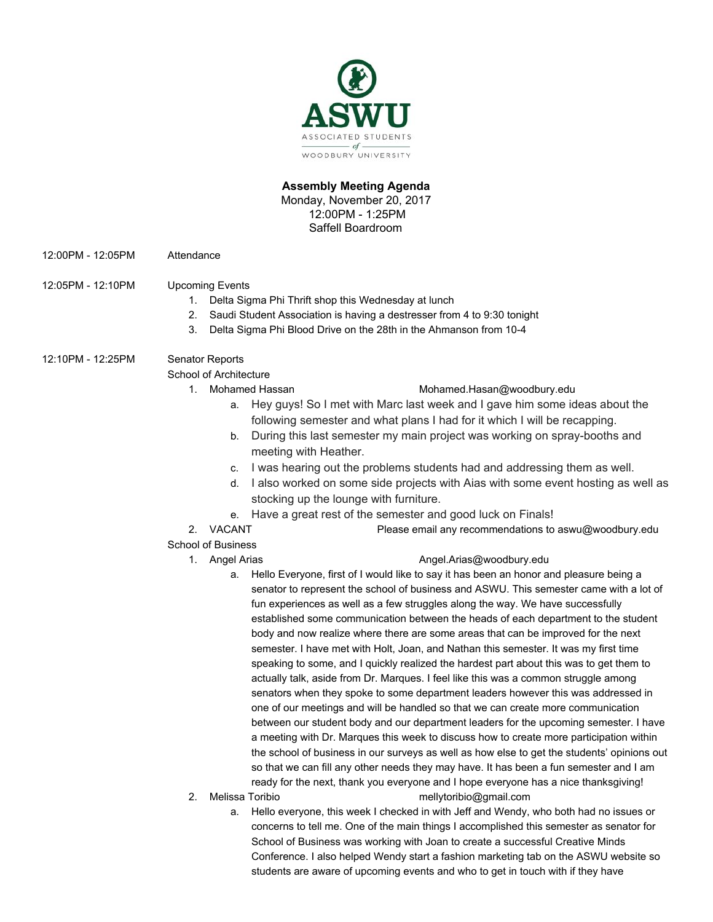

# **Assembly Meeting Agenda**

Monday, November 20, 2017 12:00PM - 1:25PM Saffell Boardroom

- 12:00PM 12:05PM Attendance
- 12:05PM 12:10PM Upcoming Events
	- 1. Delta Sigma Phi Thrift shop this Wednesday at lunch
	- 2. Saudi Student Association is having a destresser from 4 to 9:30 tonight
	- 3. Delta Sigma Phi Blood Drive on the 28th in the Ahmanson from 10-4
- 12:10PM 12:25PM Senator Reports

School of Architecture

# 1. Mohamed Hassan [Mohamed.Hasan@woodbury.edu](mailto:Mohamed.Hasan@woodbury.edu)

- a. Hey guys! So I met with Marc last week and I gave him some ideas about the following semester and what plans I had for it which I will be recapping.
- b. During this last semester my main project was working on spray-booths and meeting with Heather.
- c. I was hearing out the problems students had and addressing them as well.
- d. I also worked on some side projects with Aias with some event hosting as well as stocking up the lounge with furniture.
- e. Have a great rest of the semester and good luck on Finals!
- 2. VACANT Please email any recommendations to aswu@woodbury.edu
- School of Business

### 1. Angel Arias [Angel.Arias@woodbury.edu](mailto:Angel.Arias@woodbury.edu)

- a. Hello Everyone, first of I would like to say it has been an honor and pleasure being a senator to represent the school of business and ASWU. This semester came with a lot of fun experiences as well as a few struggles along the way. We have successfully established some communication between the heads of each department to the student body and now realize where there are some areas that can be improved for the next semester. I have met with Holt, Joan, and Nathan this semester. It was my first time speaking to some, and I quickly realized the hardest part about this was to get them to actually talk, aside from Dr. Marques. I feel like this was a common struggle among senators when they spoke to some department leaders however this was addressed in one of our meetings and will be handled so that we can create more communication between our student body and our department leaders for the upcoming semester. I have a meeting with Dr. Marques this week to discuss how to create more participation within the school of business in our surveys as well as how else to get the students' opinions out so that we can fill any other needs they may have. It has been a fun semester and I am ready for the next, thank you everyone and I hope everyone has a nice thanksgiving!
- 
- 2. Melissa Toribio mellytoribio@gmail.com
	- a. Hello everyone, this week I checked in with Jeff and Wendy, who both had no issues or concerns to tell me. One of the main things I accomplished this semester as senator for School of Business was working with Joan to create a successful Creative Minds Conference. I also helped Wendy start a fashion marketing tab on the ASWU website so students are aware of upcoming events and who to get in touch with if they have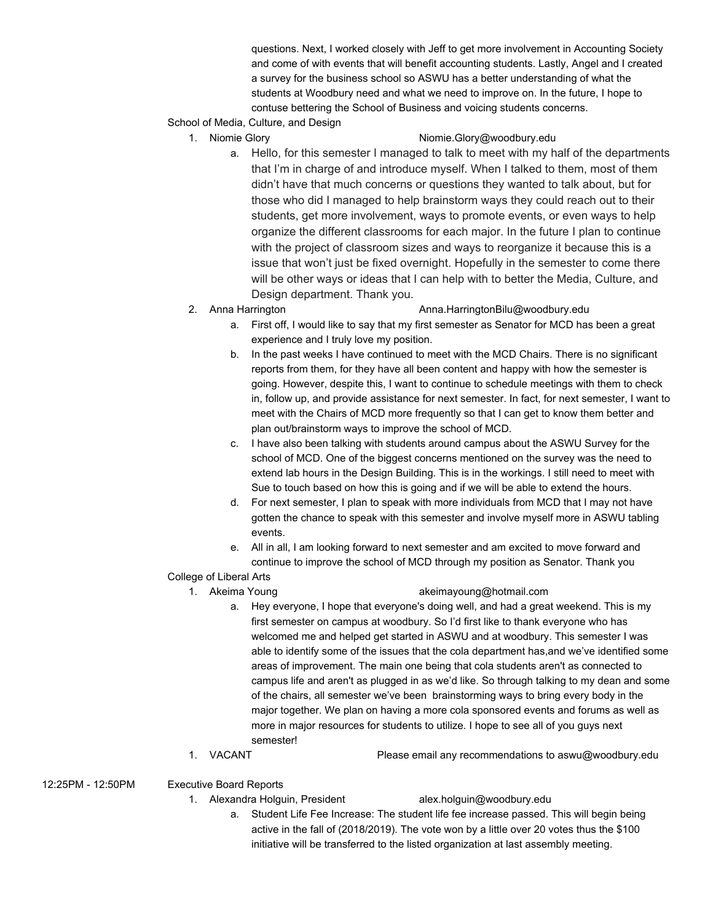questions. Next, I worked closely with Jeff to get more involvement in Accounting Society and come of with events that will benefit accounting students. Lastly, Angel and I created a survey for the business school so ASWU has a better understanding of what the students at Woodbury need and what we need to improve on. In the future, I hope to contuse bettering the School of Business and voicing students concerns.

- School of Media, Culture, and Design
	-

# 1. Niomie Glory **Niomie.Glory@woodbury.edu**

- a. Hello, for this semester I managed to talk to meet with my half of the departments that I'm in charge of and introduce myself. When I talked to them, most of them didn't have that much concerns or questions they wanted to talk about, but for those who did I managed to help brainstorm ways they could reach out to their students, get more involvement, ways to promote events, or even ways to help organize the different classrooms for each major. In the future I plan to continue with the project of classroom sizes and ways to reorganize it because this is a issue that won't just be fixed overnight. Hopefully in the semester to come there will be other ways or ideas that I can help with to better the Media, Culture, and Design department. Thank you.
- 

#### 2. Anna Harrington **Anna.HarringtonBilu@woodbury.edu**

- a. First off, I would like to say that my first semester as Senator for MCD has been a great experience and I truly love my position.
- b. In the past weeks I have continued to meet with the MCD Chairs. There is no significant reports from them, for they have all been content and happy with how the semester is going. However, despite this, I want to continue to schedule meetings with them to check in, follow up, and provide assistance for next semester. In fact, for next semester, I want to meet with the Chairs of MCD more frequently so that I can get to know them better and plan out/brainstorm ways to improve the school of MCD.
- c. I have also been talking with students around campus about the ASWU Survey for the school of MCD. One of the biggest concerns mentioned on the survey was the need to extend lab hours in the Design Building. This is in the workings. I still need to meet with Sue to touch based on how this is going and if we will be able to extend the hours.
- d. For next semester, I plan to speak with more individuals from MCD that I may not have gotten the chance to speak with this semester and involve myself more in ASWU tabling events.
- e. All in all, I am looking forward to next semester and am excited to move forward and continue to improve the school of MCD through my position as Senator. Thank you
- College of Liberal Arts

### 1. Akeima Young akeimayoung@hotmail.com

- a. Hey everyone, I hope that everyone's doing well, and had a great weekend. This is my first semester on campus at woodbury. So I'd first like to thank everyone who has welcomed me and helped get started in ASWU and at woodbury. This semester I was able to identify some of the issues that the cola department has,and we've identified some areas of improvement. The main one being that cola students aren't as connected to campus life and aren't as plugged in as we'd like. So through talking to my dean and some of the chairs, all semester we've been brainstorming ways to bring every body in the major together. We plan on having a more cola sponsored events and forums as well as more in major resources for students to utilize. I hope to see all of you guys next semester!
- 1. VACANT Please email any recommendations to aswu@woodbury.edu

12:25PM - 12:50PM Executive Board Reports

1. Alexandra Holguin, President alex.holguin@woodbury.edu

a. Student Life Fee Increase: The student life fee increase passed. This will begin being active in the fall of (2018/2019). The vote won by a little over 20 votes thus the \$100 initiative will be transferred to the listed organization at last assembly meeting.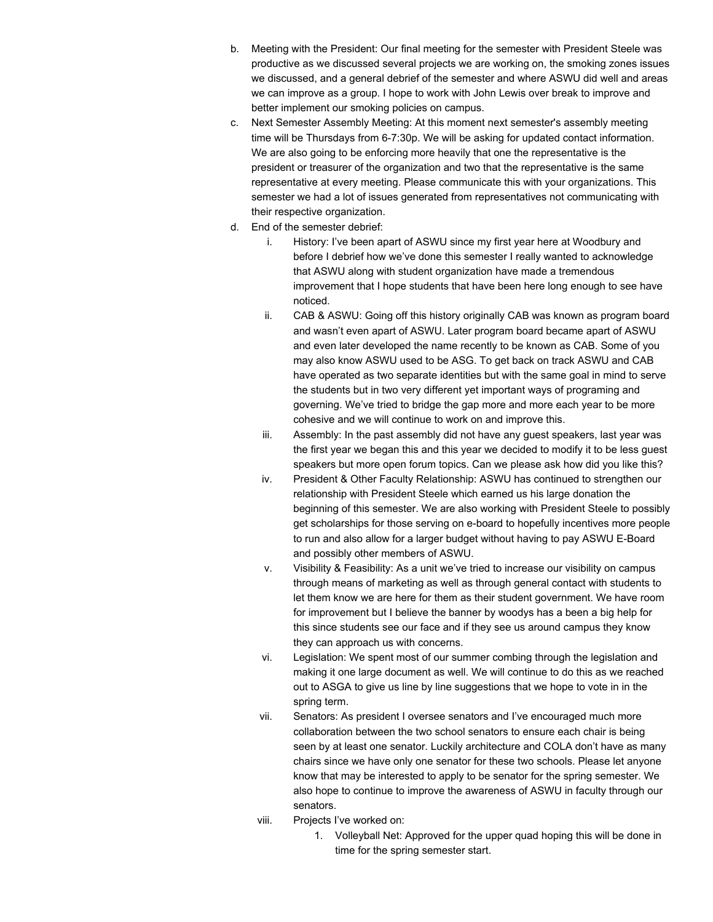- b. Meeting with the President: Our final meeting for the semester with President Steele was productive as we discussed several projects we are working on, the smoking zones issues we discussed, and a general debrief of the semester and where ASWU did well and areas we can improve as a group. I hope to work with John Lewis over break to improve and better implement our smoking policies on campus.
- c. Next Semester Assembly Meeting: At this moment next semester's assembly meeting time will be Thursdays from 6-7:30p. We will be asking for updated contact information. We are also going to be enforcing more heavily that one the representative is the president or treasurer of the organization and two that the representative is the same representative at every meeting. Please communicate this with your organizations. This semester we had a lot of issues generated from representatives not communicating with their respective organization.
- d. End of the semester debrief:
	- i. History: I've been apart of ASWU since my first year here at Woodbury and before I debrief how we've done this semester I really wanted to acknowledge that ASWU along with student organization have made a tremendous improvement that I hope students that have been here long enough to see have noticed.
	- ii. CAB & ASWU: Going off this history originally CAB was known as program board and wasn't even apart of ASWU. Later program board became apart of ASWU and even later developed the name recently to be known as CAB. Some of you may also know ASWU used to be ASG. To get back on track ASWU and CAB have operated as two separate identities but with the same goal in mind to serve the students but in two very different yet important ways of programing and governing. We've tried to bridge the gap more and more each year to be more cohesive and we will continue to work on and improve this.
	- iii. Assembly: In the past assembly did not have any guest speakers, last year was the first year we began this and this year we decided to modify it to be less guest speakers but more open forum topics. Can we please ask how did you like this?
	- iv. President & Other Faculty Relationship: ASWU has continued to strengthen our relationship with President Steele which earned us his large donation the beginning of this semester. We are also working with President Steele to possibly get scholarships for those serving on e-board to hopefully incentives more people to run and also allow for a larger budget without having to pay ASWU E-Board and possibly other members of ASWU.
	- v. Visibility & Feasibility: As a unit we've tried to increase our visibility on campus through means of marketing as well as through general contact with students to let them know we are here for them as their student government. We have room for improvement but I believe the banner by woodys has a been a big help for this since students see our face and if they see us around campus they know they can approach us with concerns.
	- vi. Legislation: We spent most of our summer combing through the legislation and making it one large document as well. We will continue to do this as we reached out to ASGA to give us line by line suggestions that we hope to vote in in the spring term.
	- vii. Senators: As president I oversee senators and I've encouraged much more collaboration between the two school senators to ensure each chair is being seen by at least one senator. Luckily architecture and COLA don't have as many chairs since we have only one senator for these two schools. Please let anyone know that may be interested to apply to be senator for the spring semester. We also hope to continue to improve the awareness of ASWU in faculty through our senators.
	- viii. Projects I've worked on:
		- 1. Volleyball Net: Approved for the upper quad hoping this will be done in time for the spring semester start.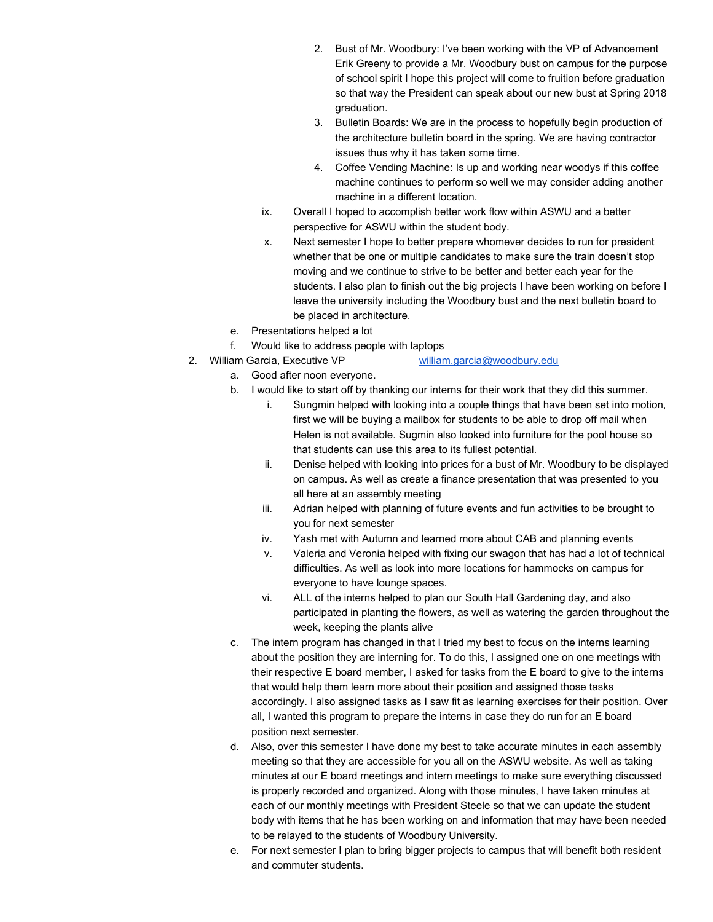- 2. Bust of Mr. Woodbury: I've been working with the VP of Advancement Erik Greeny to provide a Mr. Woodbury bust on campus for the purpose of school spirit I hope this project will come to fruition before graduation so that way the President can speak about our new bust at Spring 2018 graduation.
- 3. Bulletin Boards: We are in the process to hopefully begin production of the architecture bulletin board in the spring. We are having contractor issues thus why it has taken some time.
- 4. Coffee Vending Machine: Is up and working near woodys if this coffee machine continues to perform so well we may consider adding another machine in a different location.
- ix. Overall I hoped to accomplish better work flow within ASWU and a better perspective for ASWU within the student body.
- x. Next semester I hope to better prepare whomever decides to run for president whether that be one or multiple candidates to make sure the train doesn't stop moving and we continue to strive to be better and better each year for the students. I also plan to finish out the big projects I have been working on before I leave the university including the Woodbury bust and the next bulletin board to be placed in architecture.
- e. Presentations helped a lot
- f. Would like to address people with laptops
- 2. William Garcia, Executive VP [william.garcia@woodbury.edu](mailto:william.garcia@woodbury.edu)
	- a. Good after noon everyone.
	- b. I would like to start off by thanking our interns for their work that they did this summer.
		- i. Sungmin helped with looking into a couple things that have been set into motion, first we will be buying a mailbox for students to be able to drop off mail when Helen is not available. Sugmin also looked into furniture for the pool house so that students can use this area to its fullest potential.
		- ii. Denise helped with looking into prices for a bust of Mr. Woodbury to be displayed on campus. As well as create a finance presentation that was presented to you all here at an assembly meeting
		- iii. Adrian helped with planning of future events and fun activities to be brought to you for next semester
		- iv. Yash met with Autumn and learned more about CAB and planning events
		- v. Valeria and Veronia helped with fixing our swagon that has had a lot of technical difficulties. As well as look into more locations for hammocks on campus for everyone to have lounge spaces.
		- vi. ALL of the interns helped to plan our South Hall Gardening day, and also participated in planting the flowers, as well as watering the garden throughout the week, keeping the plants alive
	- c. The intern program has changed in that I tried my best to focus on the interns learning about the position they are interning for. To do this, I assigned one on one meetings with their respective E board member, I asked for tasks from the E board to give to the interns that would help them learn more about their position and assigned those tasks accordingly. I also assigned tasks as I saw fit as learning exercises for their position. Over all, I wanted this program to prepare the interns in case they do run for an E board position next semester.
	- d. Also, over this semester I have done my best to take accurate minutes in each assembly meeting so that they are accessible for you all on the ASWU website. As well as taking minutes at our E board meetings and intern meetings to make sure everything discussed is properly recorded and organized. Along with those minutes, I have taken minutes at each of our monthly meetings with President Steele so that we can update the student body with items that he has been working on and information that may have been needed to be relayed to the students of Woodbury University.
	- e. For next semester I plan to bring bigger projects to campus that will benefit both resident and commuter students.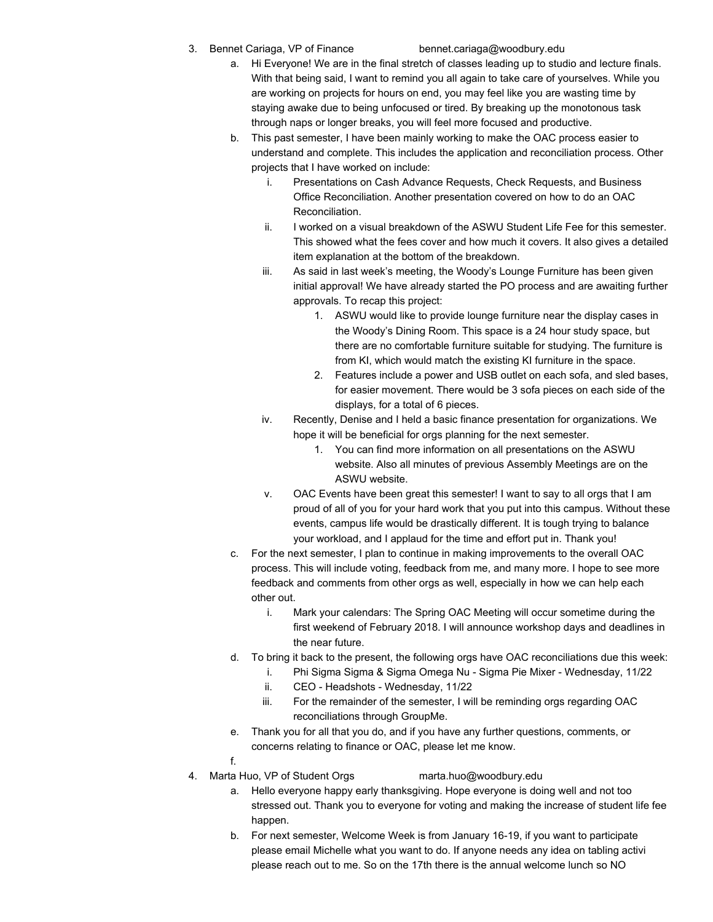3. Bennet Cariaga, VP of Finance bennet.cariaga@woodbury.edu

- a. Hi Everyone! We are in the final stretch of classes leading up to studio and lecture finals. With that being said, I want to remind you all again to take care of yourselves. While you are working on projects for hours on end, you may feel like you are wasting time by staying awake due to being unfocused or tired. By breaking up the monotonous task through naps or longer breaks, you will feel more focused and productive.
- b. This past semester, I have been mainly working to make the OAC process easier to understand and complete. This includes the application and reconciliation process. Other projects that I have worked on include:
	- i. Presentations on Cash Advance Requests, Check Requests, and Business Office Reconciliation. Another presentation covered on how to do an OAC Reconciliation.
	- ii. I worked on a visual breakdown of the ASWU Student Life Fee for this semester. This showed what the fees cover and how much it covers. It also gives a detailed item explanation at the bottom of the breakdown.
	- iii. As said in last week's meeting, the Woody's Lounge Furniture has been given initial approval! We have already started the PO process and are awaiting further approvals. To recap this project:
		- 1. ASWU would like to provide lounge furniture near the display cases in the Woody's Dining Room. This space is a 24 hour study space, but there are no comfortable furniture suitable for studying. The furniture is from KI, which would match the existing KI furniture in the space.
		- 2. Features include a power and USB outlet on each sofa, and sled bases, for easier movement. There would be 3 sofa pieces on each side of the displays, for a total of 6 pieces.
	- iv. Recently, Denise and I held a basic finance presentation for organizations. We hope it will be beneficial for orgs planning for the next semester.
		- 1. You can find more information on all presentations on the ASWU website. Also all minutes of previous Assembly Meetings are on the ASWU website.
	- v. OAC Events have been great this semester! I want to say to all orgs that I am proud of all of you for your hard work that you put into this campus. Without these events, campus life would be drastically different. It is tough trying to balance your workload, and I applaud for the time and effort put in. Thank you!
- c. For the next semester, I plan to continue in making improvements to the overall OAC process. This will include voting, feedback from me, and many more. I hope to see more feedback and comments from other orgs as well, especially in how we can help each other out.
	- i. Mark your calendars: The Spring OAC Meeting will occur sometime during the first weekend of February 2018. I will announce workshop days and deadlines in the near future.
- d. To bring it back to the present, the following orgs have OAC reconciliations due this week:
	- i. Phi Sigma Sigma & Sigma Omega Nu Sigma Pie Mixer Wednesday, 11/22
	- ii. CEO Headshots Wednesday, 11/22
	- iii. For the remainder of the semester, I will be reminding orgs regarding OAC reconciliations through GroupMe.
- e. Thank you for all that you do, and if you have any further questions, comments, or concerns relating to finance or OAC, please let me know.
- f.
- 4. Marta Huo, VP of Student Orgs marta.huo@woodbury.edu
	- a. Hello everyone happy early thanksgiving. Hope everyone is doing well and not too stressed out. Thank you to everyone for voting and making the increase of student life fee happen.
	- b. For next semester, Welcome Week is from January 16-19, if you want to participate please email Michelle what you want to do. If anyone needs any idea on tabling activi please reach out to me. So on the 17th there is the annual welcome lunch so NO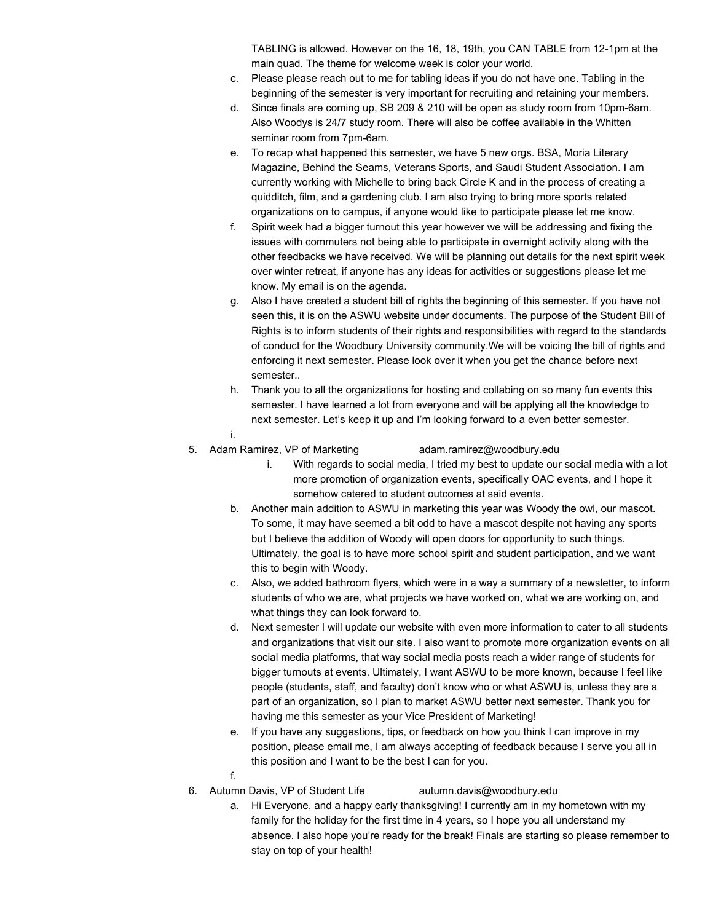TABLING is allowed. However on the 16, 18, 19th, you CAN TABLE from 12-1pm at the main quad. The theme for welcome week is color your world.

- c. Please please reach out to me for tabling ideas if you do not have one. Tabling in the beginning of the semester is very important for recruiting and retaining your members.
- d. Since finals are coming up, SB 209 & 210 will be open as study room from 10pm-6am. Also Woodys is 24/7 study room. There will also be coffee available in the Whitten seminar room from 7pm-6am.
- e. To recap what happened this semester, we have 5 new orgs. BSA, Moria Literary Magazine, Behind the Seams, Veterans Sports, and Saudi Student Association. I am currently working with Michelle to bring back Circle K and in the process of creating a quidditch, film, and a gardening club. I am also trying to bring more sports related organizations on to campus, if anyone would like to participate please let me know.
- f. Spirit week had a bigger turnout this year however we will be addressing and fixing the issues with commuters not being able to participate in overnight activity along with the other feedbacks we have received. We will be planning out details for the next spirit week over winter retreat, if anyone has any ideas for activities or suggestions please let me know. My email is on the agenda.
- g. Also I have created a student bill of rights the beginning of this semester. If you have not seen this, it is on the ASWU website under documents. The purpose of the Student Bill of Rights is to inform students of their rights and responsibilities with regard to the standards of conduct for the Woodbury University community.We will be voicing the bill of rights and enforcing it next semester. Please look over it when you get the chance before next semester..
- h. Thank you to all the organizations for hosting and collabing on so many fun events this semester. I have learned a lot from everyone and will be applying all the knowledge to next semester. Let's keep it up and I'm looking forward to a even better semester.
- i.
- 5. Adam Ramirez, VP of Marketing adam.ramirez@woodbury.edu

- i. With regards to social media, I tried my best to update our social media with a lot more promotion of organization events, specifically OAC events, and I hope it somehow catered to student outcomes at said events.
- b. Another main addition to ASWU in marketing this year was Woody the owl, our mascot. To some, it may have seemed a bit odd to have a mascot despite not having any sports but I believe the addition of Woody will open doors for opportunity to such things. Ultimately, the goal is to have more school spirit and student participation, and we want this to begin with Woody.
- c. Also, we added bathroom flyers, which were in a way a summary of a newsletter, to inform students of who we are, what projects we have worked on, what we are working on, and what things they can look forward to.
- d. Next semester I will update our website with even more information to cater to all students and organizations that visit our site. I also want to promote more organization events on all social media platforms, that way social media posts reach a wider range of students for bigger turnouts at events. Ultimately, I want ASWU to be more known, because I feel like people (students, staff, and faculty) don't know who or what ASWU is, unless they are a part of an organization, so I plan to market ASWU better next semester. Thank you for having me this semester as your Vice President of Marketing!
- e. If you have any suggestions, tips, or feedback on how you think I can improve in my position, please email me, I am always accepting of feedback because I serve you all in this position and I want to be the best I can for you.
- f.
- 6. Autumn Davis, VP of Student Life [autumn.davis@woodbury.edu](mailto:autumn.davis@woodbury.edu)
	- a. Hi Everyone, and a happy early thanksgiving! I currently am in my hometown with my family for the holiday for the first time in 4 years, so I hope you all understand my absence. I also hope you're ready for the break! Finals are starting so please remember to stay on top of your health!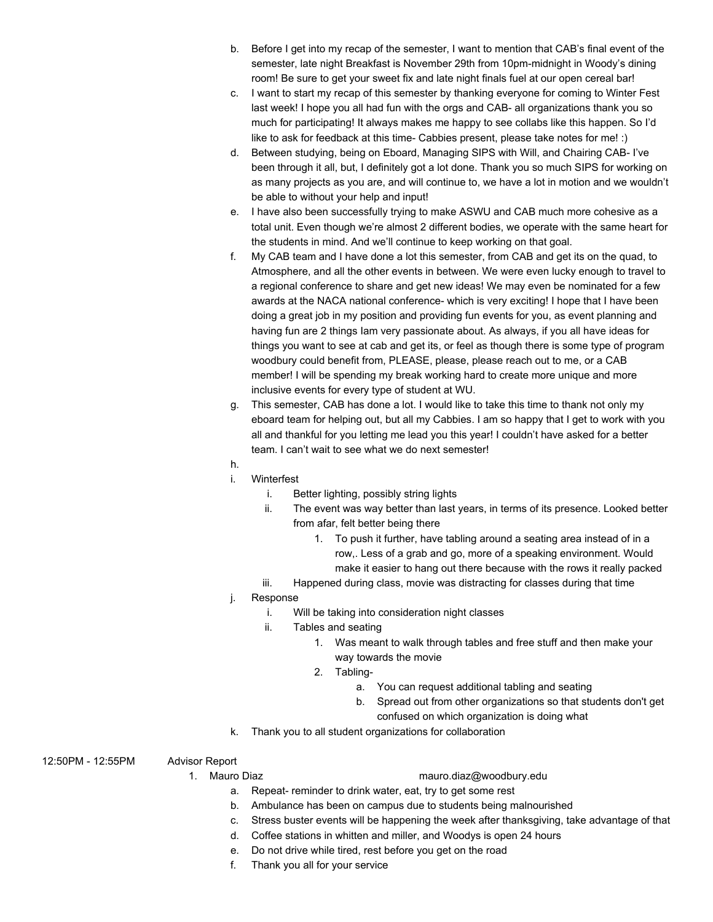- b. Before I get into my recap of the semester, I want to mention that CAB's final event of the semester, late night Breakfast is November 29th from 10pm-midnight in Woody's dining room! Be sure to get your sweet fix and late night finals fuel at our open cereal bar!
- c. I want to start my recap of this semester by thanking everyone for coming to Winter Fest last week! I hope you all had fun with the orgs and CAB- all organizations thank you so much for participating! It always makes me happy to see collabs like this happen. So I'd like to ask for feedback at this time- Cabbies present, please take notes for me! :)
- d. Between studying, being on Eboard, Managing SIPS with Will, and Chairing CAB- I've been through it all, but, I definitely got a lot done. Thank you so much SIPS for working on as many projects as you are, and will continue to, we have a lot in motion and we wouldn't be able to without your help and input!
- e. I have also been successfully trying to make ASWU and CAB much more cohesive as a total unit. Even though we're almost 2 different bodies, we operate with the same heart for the students in mind. And we'll continue to keep working on that goal.
- f. My CAB team and I have done a lot this semester, from CAB and get its on the quad, to Atmosphere, and all the other events in between. We were even lucky enough to travel to a regional conference to share and get new ideas! We may even be nominated for a few awards at the NACA national conference- which is very exciting! I hope that I have been doing a great job in my position and providing fun events for you, as event planning and having fun are 2 things Iam very passionate about. As always, if you all have ideas for things you want to see at cab and get its, or feel as though there is some type of program woodbury could benefit from, PLEASE, please, please reach out to me, or a CAB member! I will be spending my break working hard to create more unique and more inclusive events for every type of student at WU.
- g. This semester, CAB has done a lot. I would like to take this time to thank not only my eboard team for helping out, but all my Cabbies. I am so happy that I get to work with you all and thankful for you letting me lead you this year! I couldn't have asked for a better team. I can't wait to see what we do next semester!
- h.
- i. Winterfest
	- i. Better lighting, possibly string lights
	- ii. The event was way better than last years, in terms of its presence. Looked better from afar, felt better being there
		- 1. To push it further, have tabling around a seating area instead of in a row,. Less of a grab and go, more of a speaking environment. Would make it easier to hang out there because with the rows it really packed
	- iii. Happened during class, movie was distracting for classes during that time

# Response

- i. Will be taking into consideration night classes
- ii. Tables and seating
	- 1. Was meant to walk through tables and free stuff and then make your way towards the movie
	- 2. Tabling
		- a. You can request additional tabling and seating
		- b. Spread out from other organizations so that students don't get confused on which organization is doing what
- k. Thank you to all student organizations for collaboration
- 12:50PM 12:55PM Advisor Report

- 1. Mauro Diaz mauro.diaz@woodbury.edu
	- a. Repeat- reminder to drink water, eat, try to get some rest
	- b. Ambulance has been on campus due to students being malnourished
	- c. Stress buster events will be happening the week after thanksgiving, take advantage of that
	- d. Coffee stations in whitten and miller, and Woodys is open 24 hours
	- e. Do not drive while tired, rest before you get on the road
	- f. Thank you all for your service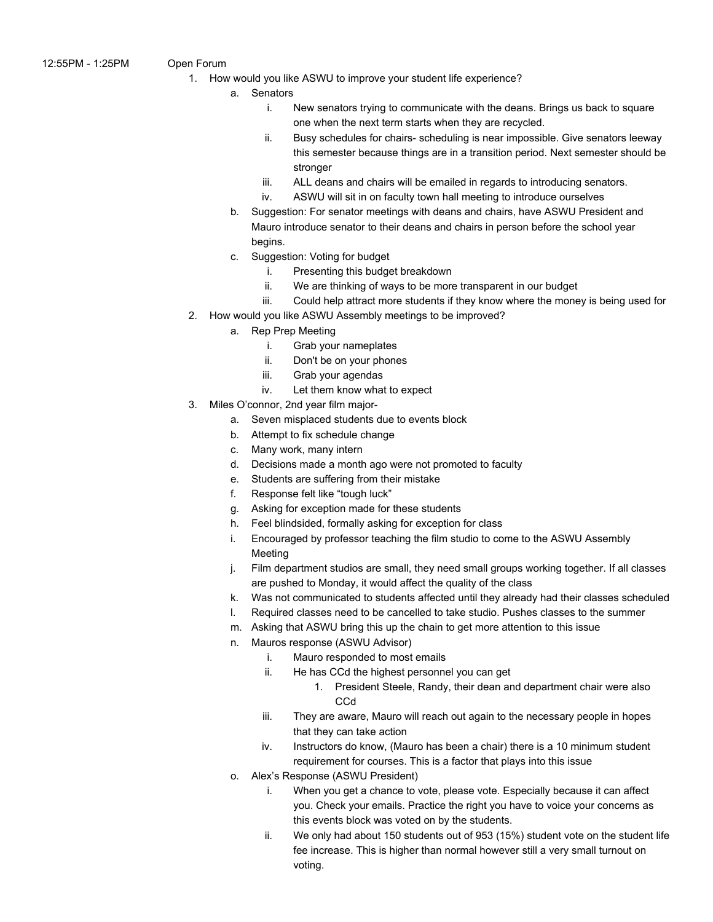- - 1. How would you like ASWU to improve your student life experience?
		- a. Senators
			- i. New senators trying to communicate with the deans. Brings us back to square one when the next term starts when they are recycled.
			- ii. Busy schedules for chairs- scheduling is near impossible. Give senators leeway this semester because things are in a transition period. Next semester should be stronger
			- iii. ALL deans and chairs will be emailed in regards to introducing senators.
			- iv. ASWU will sit in on faculty town hall meeting to introduce ourselves
			- b. Suggestion: For senator meetings with deans and chairs, have ASWU President and Mauro introduce senator to their deans and chairs in person before the school year begins.
			- c. Suggestion: Voting for budget
				- i. Presenting this budget breakdown
				- ii. We are thinking of ways to be more transparent in our budget
				- iii. Could help attract more students if they know where the money is being used for
	- 2. How would you like ASWU Assembly meetings to be improved?
		- a. Rep Prep Meeting
			- i. Grab your nameplates
			- ii. Don't be on your phones
			- iii. Grab your agendas
			- iv. Let them know what to expect
	- 3. Miles O'connor, 2nd year film major
		- a. Seven misplaced students due to events block
		- b. Attempt to fix schedule change
		- c. Many work, many intern
		- d. Decisions made a month ago were not promoted to faculty
		- e. Students are suffering from their mistake
		- f. Response felt like "tough luck"
		- g. Asking for exception made for these students
		- h. Feel blindsided, formally asking for exception for class
		- i. Encouraged by professor teaching the film studio to come to the ASWU Assembly Meeting
		- j. Film department studios are small, they need small groups working together. If all classes are pushed to Monday, it would affect the quality of the class
		- k. Was not communicated to students affected until they already had their classes scheduled
		- l. Required classes need to be cancelled to take studio. Pushes classes to the summer
		- m. Asking that ASWU bring this up the chain to get more attention to this issue
		- n. Mauros response (ASWU Advisor)
			- i. Mauro responded to most emails
			- ii. He has CCd the highest personnel you can get
				- 1. President Steele, Randy, their dean and department chair were also C<sub>C</sub>d
			- iii. They are aware, Mauro will reach out again to the necessary people in hopes that they can take action
			- iv. Instructors do know, (Mauro has been a chair) there is a 10 minimum student requirement for courses. This is a factor that plays into this issue
		- o. Alex's Response (ASWU President)
			- i. When you get a chance to vote, please vote. Especially because it can affect you. Check your emails. Practice the right you have to voice your concerns as this events block was voted on by the students.
			- ii. We only had about 150 students out of 953 (15%) student vote on the student life fee increase. This is higher than normal however still a very small turnout on voting.